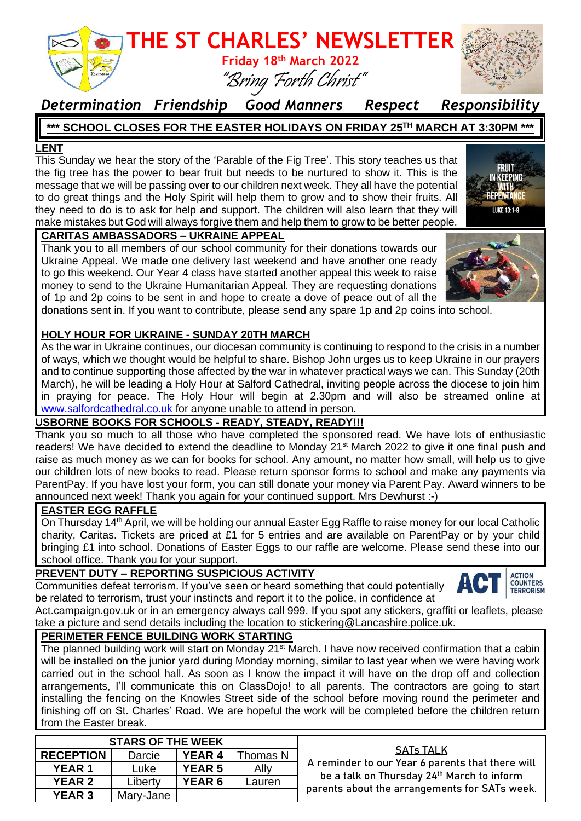

### *Determination Friendship Good Manners Respect Responsibility*

### **\*\*\* SCHOOL CLOSES FOR THE EASTER HOLIDAYS ON FRIDAY 25TH MARCH AT 3:30PM \*\*\***

#### **LENT**

This Sunday we hear the story of the 'Parable of the Fig Tree'. This story teaches us that the fig tree has the power to bear fruit but needs to be nurtured to show it. This is the message that we will be passing over to our children next week. They all have the potential to do great things and the Holy Spirit will help them to grow and to show their fruits. All they need to do is to ask for help and support. The children will also learn that they will make mistakes but God will always forgive them and help them to grow to be better people.



#### **CARITAS AMBASSADORS – UKRAINE APPEAL**

Thank you to all members of our school community for their donations towards our Ukraine Appeal. We made one delivery last weekend and have another one ready to go this weekend. Our Year 4 class have started another appeal this week to raise money to send to the Ukraine Humanitarian Appeal. They are requesting donations of 1p and 2p coins to be sent in and hope to create a dove of peace out of all the



#### **HOLY HOUR FOR UKRAINE - SUNDAY 20TH MARCH**

As the war in Ukraine continues, our diocesan community is continuing to respond to the crisis in a number of ways, which we thought would be helpful to share. Bishop John urges us to keep Ukraine in our prayers and to continue supporting those affected by the war in whatever practical ways we can. This Sunday (20th March), he will be leading a Holy Hour at Salford Cathedral, inviting people across the diocese to join him in praying for peace. The Holy Hour will begin at 2.30pm and will also be streamed online at [www.salfordcathedral.co.uk](http://www.salfordcathedral.co.uk/) for anyone unable to attend in person.

#### **USBORNE BOOKS FOR SCHOOLS - READY, STEADY, READY!!!**

Thank you so much to all those who have completed the sponsored read. We have lots of enthusiastic readers! We have decided to extend the deadline to Monday 21<sup>st</sup> March 2022 to give it one final push and raise as much money as we can for books for school. Any amount, no matter how small, will help us to give our children lots of new books to read. Please return sponsor forms to school and make any payments via ParentPay. If you have lost your form, you can still donate your money via Parent Pay. Award winners to be announced next week! Thank you again for your continued support. Mrs Dewhurst :-)

#### **EASTER EGG RAFFLE**

On Thursday 14<sup>th</sup> April, we will be holding our annual Easter Egg Raffle to raise money for our local Catholic charity, Caritas. Tickets are priced at £1 for 5 entries and are available on ParentPay or by your child bringing £1 into school. Donations of Easter Eggs to our raffle are welcome. Please send these into our school office. Thank you for your support.

#### **PREVENT DUTY – REPORTING SUSPICIOUS ACTIVITY**

Communities defeat terrorism. If you've seen or heard something that could potentially be related to terrorism, trust your instincts and report it to the police, in confidence at



Act.campaign.gov.uk or in an emergency always call 999. If you spot any stickers, graffiti or leaflets, please take a picture and send details including the location to stickering@Lancashire.police.uk.

#### **PERIMETER FENCE BUILDING WORK STARTING**

The planned building work will start on Monday 21<sup>st</sup> March. I have now received confirmation that a cabin will be installed on the junior yard during Monday morning, similar to last year when we were having work carried out in the school hall. As soon as I know the impact it will have on the drop off and collection arrangements, I'll communicate this on ClassDojo! to all parents. The contractors are going to start installing the fencing on the Knowles Street side of the school before moving round the perimeter and finishing off on St. Charles' Road. We are hopeful the work will be completed before the children return from the Easter break.

| <b>STARS OF THE WEEK</b> |           |               |          |                                                                                                                                                                     |
|--------------------------|-----------|---------------|----------|---------------------------------------------------------------------------------------------------------------------------------------------------------------------|
| <b>RECEPTION</b>         | Darcie    | <b>YEAR 4</b> | Thomas N | <b>SATs TALK</b><br>A reminder to our Year 6 parents that there will<br>be a talk on Thursday 24th March to inform<br>parents about the arrangements for SATs week. |
| <b>YEAR 1</b>            | Luke      | <b>YEAR 5</b> | Ally     |                                                                                                                                                                     |
| <b>YEAR 2</b>            | Liberty   | <b>YEAR 6</b> | Lauren   |                                                                                                                                                                     |
| <b>YEAR 3</b>            | Mary-Jane |               |          |                                                                                                                                                                     |